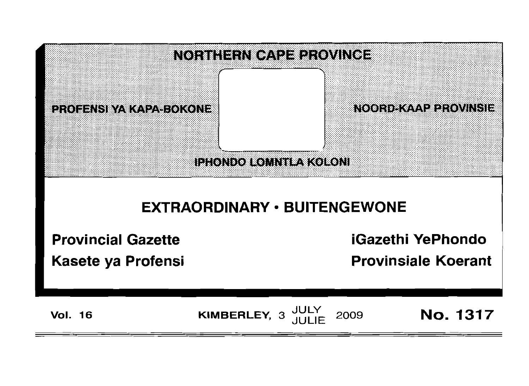